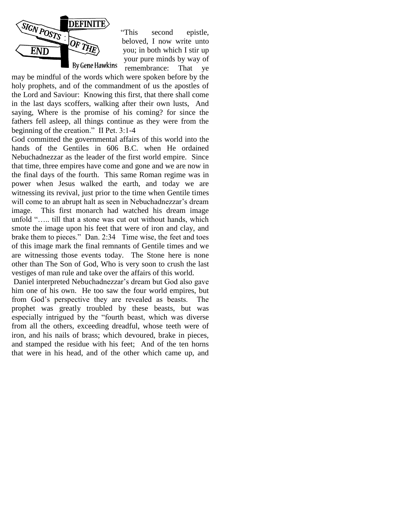

"This second epistle, beloved, I now write unto you; in both which I stir up your pure minds by way of remembrance: That ye

may be mindful of the words which were spoken before by the holy prophets, and of the commandment of us the apostles of the Lord and Saviour: Knowing this first, that there shall come in the last days scoffers, walking after their own lusts, And saying, Where is the promise of his coming? for since the fathers fell asleep, all things continue as they were from the beginning of the creation." II Pet. 3:1-4

God committed the governmental affairs of this world into the hands of the Gentiles in 606 B.C. when He ordained Nebuchadnezzar as the leader of the first world empire. Since that time, three empires have come and gone and we are now in the final days of the fourth. This same Roman regime was in power when Jesus walked the earth, and today we are witnessing its revival, just prior to the time when Gentile times will come to an abrupt halt as seen in Nebuchadnezzar's dream image. This first monarch had watched his dream image unfold "….. till that a stone was cut out without hands, which smote the image upon his feet that were of iron and clay, and brake them to pieces." Dan. 2:34 Time wise, the feet and toes of this image mark the final remnants of Gentile times and we are witnessing those events today. The Stone here is none other than The Son of God, Who is very soon to crush the last vestiges of man rule and take over the affairs of this world.

Daniel interpreted Nebuchadnezzar's dream but God also gave him one of his own. He too saw the four world empires, but from God's perspective they are revealed as beasts. The prophet was greatly troubled by these beasts, but was especially intrigued by the "fourth beast, which was diverse from all the others, exceeding dreadful, whose teeth were of iron, and his nails of brass; which devoured, brake in pieces, and stamped the residue with his feet; And of the ten horns that were in his head, and of the other which came up, and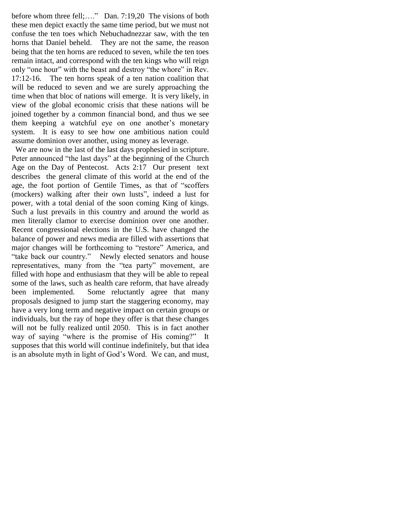before whom three fell;...." Dan. 7:19,20 The visions of both these men depict exactly the same time period, but we must not confuse the ten toes which Nebuchadnezzar saw, with the ten horns that Daniel beheld. They are not the same, the reason being that the ten horns are reduced to seven, while the ten toes remain intact, and correspond with the ten kings who will reign only "one hour" with the beast and destroy "the whore" in Rev. 17:12-16. The ten horns speak of a ten nation coalition that will be reduced to seven and we are surely approaching the time when that bloc of nations will emerge. It is very likely, in view of the global economic crisis that these nations will be joined together by a common financial bond, and thus we see them keeping a watchful eye on one another's monetary system. It is easy to see how one ambitious nation could assume dominion over another, using money as leverage.

 We are now in the last of the last days prophesied in scripture. Peter announced "the last days" at the beginning of the Church Age on the Day of Pentecost. Acts 2:17 Our present text describes the general climate of this world at the end of the age, the foot portion of Gentile Times, as that of "scoffers (mockers) walking after their own lusts", indeed a lust for power, with a total denial of the soon coming King of kings. Such a lust prevails in this country and around the world as men literally clamor to exercise dominion over one another. Recent congressional elections in the U.S. have changed the balance of power and news media are filled with assertions that major changes will be forthcoming to "restore" America, and "take back our country." Newly elected senators and house representatives, many from the "tea party" movement, are filled with hope and enthusiasm that they will be able to repeal some of the laws, such as health care reform, that have already been implemented. Some reluctantly agree that many proposals designed to jump start the staggering economy, may have a very long term and negative impact on certain groups or individuals, but the ray of hope they offer is that these changes will not be fully realized until 2050. This is in fact another way of saying "where is the promise of His coming?" It supposes that this world will continue indefinitely, but that idea is an absolute myth in light of God's Word. We can, and must,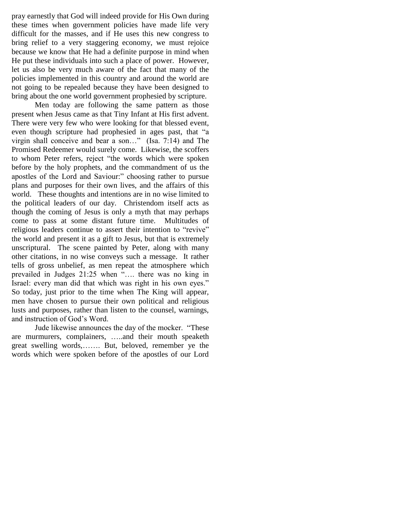pray earnestly that God will indeed provide for His Own during these times when government policies have made life very difficult for the masses, and if He uses this new congress to bring relief to a very staggering economy, we must rejoice because we know that He had a definite purpose in mind when He put these individuals into such a place of power. However, let us also be very much aware of the fact that many of the policies implemented in this country and around the world are not going to be repealed because they have been designed to bring about the one world government prophesied by scripture.

Men today are following the same pattern as those present when Jesus came as that Tiny Infant at His first advent. There were very few who were looking for that blessed event, even though scripture had prophesied in ages past, that "a virgin shall conceive and bear a son…" (Isa. 7:14) and The Promised Redeemer would surely come. Likewise, the scoffers to whom Peter refers, reject "the words which were spoken before by the holy prophets, and the commandment of us the apostles of the Lord and Saviour:" choosing rather to pursue plans and purposes for their own lives, and the affairs of this world. These thoughts and intentions are in no wise limited to the political leaders of our day. Christendom itself acts as though the coming of Jesus is only a myth that may perhaps come to pass at some distant future time. Multitudes of religious leaders continue to assert their intention to "revive" the world and present it as a gift to Jesus, but that is extremely unscriptural. The scene painted by Peter, along with many other citations, in no wise conveys such a message. It rather tells of gross unbelief, as men repeat the atmosphere which prevailed in Judges 21:25 when "…. there was no king in Israel: every man did that which was right in his own eyes." So today, just prior to the time when The King will appear, men have chosen to pursue their own political and religious lusts and purposes, rather than listen to the counsel, warnings, and instruction of God's Word.

Jude likewise announces the day of the mocker. "These are murmurers, complainers, …..and their mouth speaketh great swelling words,……. But, beloved, remember ye the words which were spoken before of the apostles of our Lord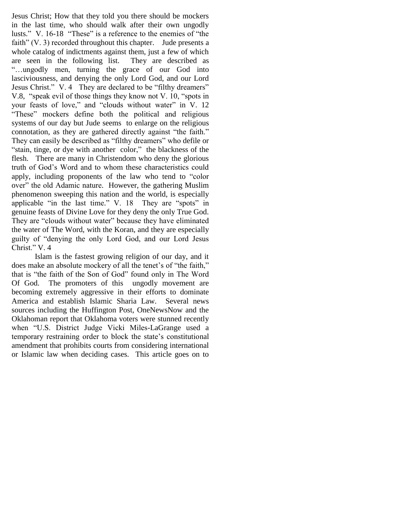Jesus Christ; How that they told you there should be mockers in the last time, who should walk after their own ungodly lusts." V. 16-18 "These" is a reference to the enemies of "the faith" (V. 3) recorded throughout this chapter. Jude presents a whole catalog of indictments against them, just a few of which are seen in the following list. They are described as "…ungodly men, turning the grace of our God into lasciviousness, and denying the only Lord God, and our Lord Jesus Christ." V. 4 They are declared to be "filthy dreamers" V.8, "speak evil of those things they know not V. 10, "spots in your feasts of love," and "clouds without water" in V. 12 "These" mockers define both the political and religious systems of our day but Jude seems to enlarge on the religious connotation, as they are gathered directly against "the faith." They can easily be described as "filthy dreamers" who defile or "stain, tinge, or dye with another color," the blackness of the flesh. There are many in Christendom who deny the glorious truth of God's Word and to whom these characteristics could apply, including proponents of the law who tend to "color over" the old Adamic nature. However, the gathering Muslim phenomenon sweeping this nation and the world, is especially applicable "in the last time." V. 18 They are "spots" in genuine feasts of Divine Love for they deny the only True God. They are "clouds without water" because they have eliminated the water of The Word, with the Koran, and they are especially guilty of "denying the only Lord God, and our Lord Jesus Christ." V. 4

Islam is the fastest growing religion of our day, and it does make an absolute mockery of all the tenet's of "the faith," that is "the faith of the Son of God" found only in The Word Of God. The promoters of this ungodly movement are becoming extremely aggressive in their efforts to dominate America and establish Islamic Sharia Law. Several news sources including the Huffington Post, OneNewsNow and the Oklahoman report that Oklahoma voters were stunned recently when "U.S. District Judge Vicki Miles-LaGrange used a temporary restraining order to block the state's constitutional amendment that prohibits courts from considering international or Islamic law when deciding cases. This article goes on to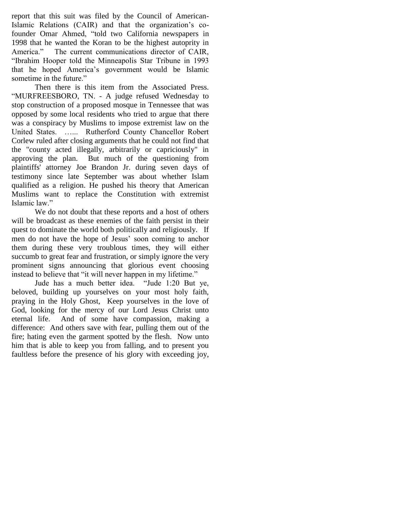report that this suit was filed by the Council of American-Islamic Relations (CAIR) and that the organization's cofounder Omar Ahmed, "told two California newspapers in 1998 that he wanted the Koran to be the highest autoprity in America." The current communications director of CAIR, "Ibrahim Hooper told the Minneapolis Star Tribune in 1993 that he hoped America's government would be Islamic sometime in the future."

Then there is this item from the Associated Press. "MURFREESBORO, TN. - A judge refused Wednesday to stop construction of a proposed mosque in Tennessee that was opposed by some local residents who tried to argue that there was a conspiracy by Muslims to impose extremist law on the United States. …... Rutherford County Chancellor Robert Corlew ruled after closing arguments that he could not find that the "county acted illegally, arbitrarily or capriciously" in approving the plan. But much of the questioning from plaintiffs' attorney Joe Brandon Jr. during seven days of testimony since late September was about whether Islam qualified as a religion. He pushed his theory that American Muslims want to replace the Constitution with extremist Islamic law."

We do not doubt that these reports and a host of others will be broadcast as these enemies of the faith persist in their quest to dominate the world both politically and religiously. If men do not have the hope of Jesus' soon coming to anchor them during these very troublous times, they will either succumb to great fear and frustration, or simply ignore the very prominent signs announcing that glorious event choosing instead to believe that "it will never happen in my lifetime."

Jude has a much better idea. "Jude 1:20 But ye, beloved, building up yourselves on your most holy faith, praying in the Holy Ghost, Keep yourselves in the love of God, looking for the mercy of our Lord Jesus Christ unto eternal life. And of some have compassion, making a difference: And others save with fear, pulling them out of the fire; hating even the garment spotted by the flesh. Now unto him that is able to keep you from falling, and to present you faultless before the presence of his glory with exceeding joy,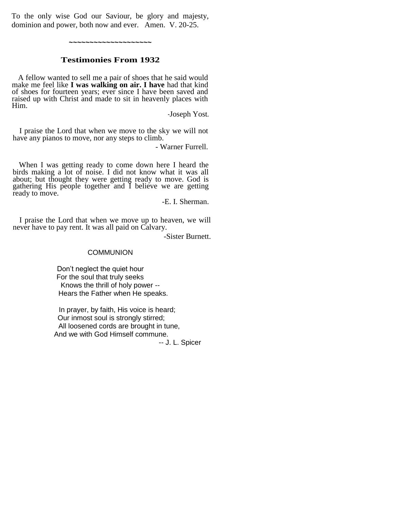To the only wise God our Saviour, be glory and majesty, dominion and power, both now and ever. Amen. V. 20-25.

**~~~~~~~~~~~~~~~~~~~~**

## **Testimonies From 1932**

A fellow wanted to sell me a pair of shoes that he said would make me feel like **I was walking on air. I have** had that kind of shoes for fourteen years; ever since I have been saved and raised up with Christ and made to sit in heavenly places with Him.

-Joseph Yost.

I praise the Lord that when we move to the sky we will not have any pianos to move, nor any steps to climb.

- Warner Furrell.

When I was getting ready to come down here I heard the birds making a lot of noise. I did not know what it was all about; but thought they were getting ready to move. God is gathering His people together and I believe we are getting ready to move.

-E. I. Sherman.

I praise the Lord that when we move up to heaven, we will never have to pay rent. It was all paid on Calvary.

-Sister Burnett.

#### **COMMUNION**

 Don"t neglect the quiet hour For the soul that truly seeks Knows the thrill of holy power -- Hears the Father when He speaks.

 In prayer, by faith, His voice is heard; Our inmost soul is strongly stirred; All loosened cords are brought in tune, And we with God Himself commune.

-- J. L. Spicer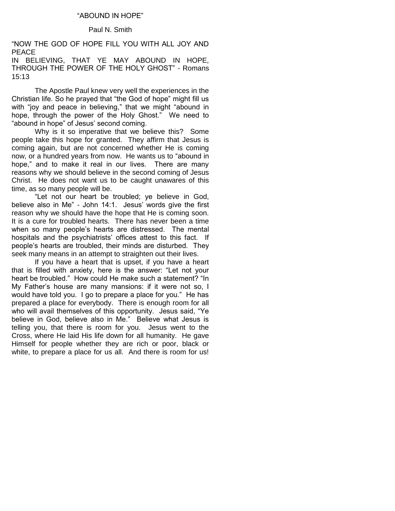## "ABOUND IN HOPE"

## Paul N. Smith

"NOW THE GOD OF HOPE FILL YOU WITH ALL JOY AND PEACE IN BELIEVING, THAT YE MAY ABOUND IN HOPE, THROUGH THE POWER OF THE HOLY GHOST" - Romans

15:13

The Apostle Paul knew very well the experiences in the Christian life. So he prayed that "the God of hope" might fill us with "joy and peace in believing," that we might "abound in hope, through the power of the Holy Ghost." We need to "abound in hope" of Jesus' second coming.

Why is it so imperative that we believe this? Some people take this hope for granted. They affirm that Jesus is coming again, but are not concerned whether He is coming now, or a hundred years from now. He wants us to "abound in hope," and to make it real in our lives. There are many reasons why we should believe in the second coming of Jesus Christ. He does not want us to be caught unawares of this time, as so many people will be.

"Let not our heart be troubled; ye believe in God, believe also in Me" - John 14:1. Jesus' words give the first reason why we should have the hope that He is coming soon. It is a cure for troubled hearts. There has never been a time when so many people's hearts are distressed. The mental hospitals and the psychiatrists' offices attest to this fact. If people"s hearts are troubled, their minds are disturbed. They seek many means in an attempt to straighten out their lives.

If you have a heart that is upset, if you have a heart that is filled with anxiety, here is the answer: "Let not your heart be troubled." How could He make such a statement? "In My Father"s house are many mansions: if it were not so, I would have told you. I go to prepare a place for you." He has prepared a place for everybody. There is enough room for all who will avail themselves of this opportunity. Jesus said, "Ye believe in God, believe also in Me." Believe what Jesus is telling you, that there is room for you. Jesus went to the Cross, where He laid His life down for all humanity. He gave Himself for people whether they are rich or poor, black or white, to prepare a place for us all. And there is room for us!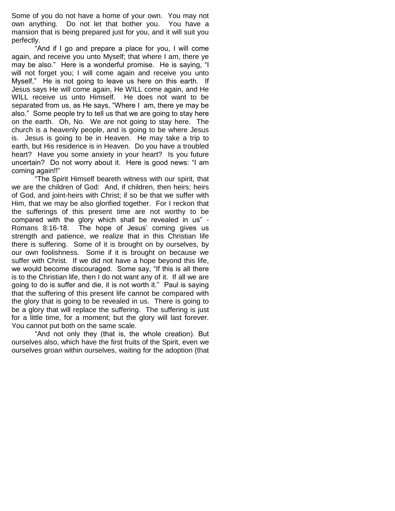Some of you do not have a home of your own. You may not own anything. Do not let that bother you. You have a mansion that is being prepared just for you, and it will suit you perfectly.

"And if I go and prepare a place for you, I will come again, and receive you unto Myself; that where I am, there ye may be also." Here is a wonderful promise. He is saying, "I will not forget you; I will come again and receive you unto Myself," He is not going to leave us here on this earth. If Jesus says He will come again, He WILL come again, and He WILL receive us unto Himself. He does not want to be separated from us, as He says, "Where I am, there ye may be also." Some people try to tell us that we are going to stay here on the earth. Oh, No. We are not going to stay here. The church is a heavenly people, and is going to be where Jesus is. Jesus is going to be in Heaven. He may take a trip to earth, but His residence is in Heaven. Do you have a troubled heart? Have you some anxiety in your heart? Is you future uncertain? Do not worry about it. Here is good news: "I am coming again!!"

"The Spirit Himself beareth witness with our spirit, that we are the children of God: And, if children, then heirs; heirs of God, and joint-heirs with Christ; if so be that we suffer with Him, that we may be also glorified together. For I reckon that the sufferings of this present time are not worthy to be compared with the glory which shall be revealed in us" - Romans 8:16-18. The hope of Jesus' coming gives us strength and patience, we realize that in this Christian life there is suffering. Some of it is brought on by ourselves, by our own foolishness. Some if it is brought on because we suffer with Christ. If we did not have a hope beyond this life, we would become discouraged. Some say, "If this is all there is to the Christian life, then I do not want any of it. If all we are going to do is suffer and die, it is not worth it." Paul is saying that the suffering of this present life cannot be compared with the glory that is going to be revealed in us. There is going to be a glory that will replace the suffering. The suffering is just for a little time, for a moment; but the glory will last forever. You cannot put both on the same scale.

"And not only they (that is, the whole creation). But ourselves also, which have the first fruits of the Spirit, even we ourselves groan within ourselves, waiting for the adoption (that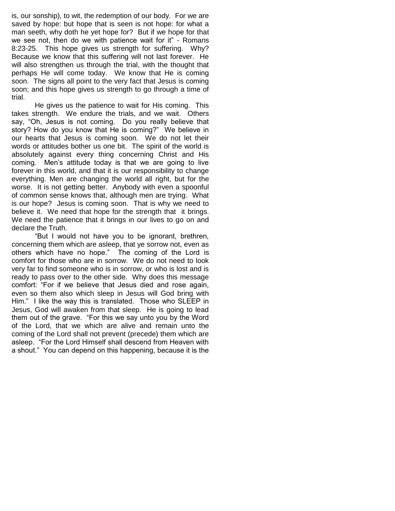is, our sonship), to wit, the redemption of our body. For we are saved by hope: but hope that is seen is not hope: for what a man seeth, why doth he yet hope for? But if we hope for that we see not, then do we with patience wait for it" - Romans 8:23-25. This hope gives us strength for suffering. Why? Because we know that this suffering will not last forever. He will also strengthen us through the trial, with the thought that perhaps He will come today. We know that He is coming soon. The signs all point to the very fact that Jesus is coming soon; and this hope gives us strength to go through a time of trial.

He gives us the patience to wait for His coming. This takes strength. We endure the trials, and we wait. Others say, "Oh, Jesus is not coming. Do you really believe that story? How do you know that He is coming?" We believe in our hearts that Jesus is coming soon. We do not let their words or attitudes bother us one bit. The spirit of the world is absolutely against every thing concerning Christ and His coming. Men"s attitude today is that we are going to live forever in this world, and that it is our responsibility to change everything. Men are changing the world all right, but for the worse. It is not getting better. Anybody with even a spoonful of common sense knows that, although men are trying. What is our hope? Jesus is coming soon. That is why we need to believe it. We need that hope for the strength that it brings. We need the patience that it brings in our lives to go on and declare the Truth.

"But I would not have you to be ignorant, brethren, concerning them which are asleep, that ye sorrow not, even as others which have no hope." The coming of the Lord is comfort for those who are in sorrow. We do not need to look very far to find someone who is in sorrow, or who is lost and is ready to pass over to the other side. Why does this message comfort: "For if we believe that Jesus died and rose again, even so them also which sleep in Jesus will God bring with Him." I like the way this is translated. Those who SLEEP in Jesus, God will awaken from that sleep. He is going to lead them out of the grave. "For this we say unto you by the Word of the Lord, that we which are alive and remain unto the coming of the Lord shall not prevent (precede) them which are asleep. "For the Lord Himself shall descend from Heaven with a shout." You can depend on this happening, because it is the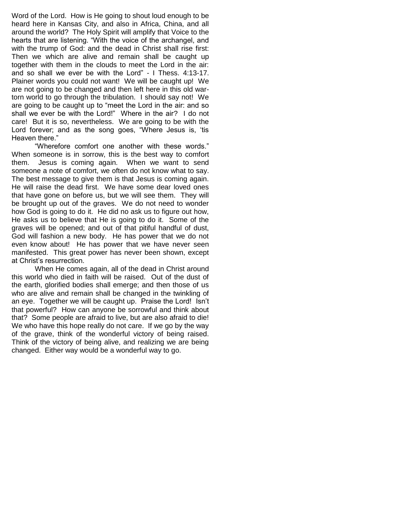Word of the Lord. How is He going to shout loud enough to be heard here in Kansas City, and also in Africa, China, and all around the world? The Holy Spirit will amplify that Voice to the hearts that are listening. "With the voice of the archangel, and with the trump of God: and the dead in Christ shall rise first: Then we which are alive and remain shall be caught up together with them in the clouds to meet the Lord in the air: and so shall we ever be with the Lord" - I Thess. 4:13-17. Plainer words you could not want! We will be caught up! We are not going to be changed and then left here in this old wartorn world to go through the tribulation. I should say not! We are going to be caught up to "meet the Lord in the air: and so shall we ever be with the Lord!" Where in the air? I do not care! But it is so, nevertheless. We are going to be with the Lord forever; and as the song goes, "Where Jesus is, "tis Heaven there."

"Wherefore comfort one another with these words." When someone is in sorrow, this is the best way to comfort them. Jesus is coming again. When we want to send someone a note of comfort, we often do not know what to say. The best message to give them is that Jesus is coming again. He will raise the dead first. We have some dear loved ones that have gone on before us, but we will see them. They will be brought up out of the graves. We do not need to wonder how God is going to do it. He did no ask us to figure out how, He asks us to believe that He is going to do it. Some of the graves will be opened; and out of that pitiful handful of dust, God will fashion a new body. He has power that we do not even know about! He has power that we have never seen manifested. This great power has never been shown, except at Christ"s resurrection.

When He comes again, all of the dead in Christ around this world who died in faith will be raised. Out of the dust of the earth, glorified bodies shall emerge; and then those of us who are alive and remain shall be changed in the twinkling of an eye. Together we will be caught up. Praise the Lord! Isn"t that powerful? How can anyone be sorrowful and think about that? Some people are afraid to live, but are also afraid to die! We who have this hope really do not care. If we go by the way of the grave, think of the wonderful victory of being raised. Think of the victory of being alive, and realizing we are being changed. Either way would be a wonderful way to go.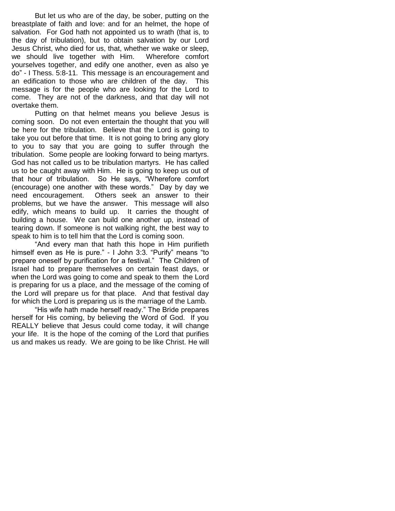But let us who are of the day, be sober, putting on the breastplate of faith and love: and for an helmet, the hope of salvation. For God hath not appointed us to wrath (that is, to the day of tribulation), but to obtain salvation by our Lord Jesus Christ, who died for us, that, whether we wake or sleep, we should live together with Him. Wherefore comfort yourselves together, and edify one another, even as also ye do" - I Thess. 5:8-11. This message is an encouragement and an edification to those who are children of the day. This message is for the people who are looking for the Lord to come. They are not of the darkness, and that day will not overtake them.

Putting on that helmet means you believe Jesus is coming soon. Do not even entertain the thought that you will be here for the tribulation. Believe that the Lord is going to take you out before that time. It is not going to bring any glory to you to say that you are going to suffer through the tribulation. Some people are looking forward to being martyrs. God has not called us to be tribulation martyrs. He has called us to be caught away with Him. He is going to keep us out of that hour of tribulation. So He says, "Wherefore comfort (encourage) one another with these words." Day by day we need encouragement. Others seek an answer to their problems, but we have the answer. This message will also edify, which means to build up. It carries the thought of building a house. We can build one another up, instead of tearing down. If someone is not walking right, the best way to speak to him is to tell him that the Lord is coming soon.

"And every man that hath this hope in Him purifieth himself even as He is pure." - I John 3:3. "Purify" means "to prepare oneself by purification for a festival." The Children of Israel had to prepare themselves on certain feast days, or when the Lord was going to come and speak to them the Lord is preparing for us a place, and the message of the coming of the Lord will prepare us for that place. And that festival day for which the Lord is preparing us is the marriage of the Lamb.

"His wife hath made herself ready." The Bride prepares herself for His coming, by believing the Word of God. If you REALLY believe that Jesus could come today, it will change your life. It is the hope of the coming of the Lord that purifies us and makes us ready. We are going to be like Christ. He will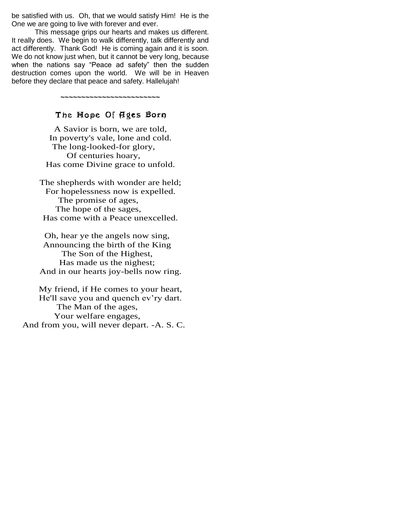be satisfied with us. Oh, that we would satisfy Him! He is the One we are going to live with forever and ever.

This message grips our hearts and makes us different. It really does. We begin to walk differently, talk differently and act differently. Thank God! He is coming again and it is soon. We do not know just when, but it cannot be very long, because when the nations say "Peace ad safety" then the sudden destruction comes upon the world. We will be in Heaven before they declare that peace and safety. Hallelujah!

## The Mope Of Ages Born

**~~~~~~~~~~~~~~~~~~~~~~~~**

A Savior is born, we are told, In poverty's vale, lone and cold. The long-looked-for glory, Of centuries hoary, Has come Divine grace to unfold.

The shepherds with wonder are held; For hopelessness now is expelled. The promise of ages, The hope of the sages, Has come with a Peace unexcelled.

Oh, hear ye the angels now sing, Announcing the birth of the King The Son of the Highest, Has made us the nighest; And in our hearts joy-bells now ring.

My friend, if He comes to your heart, He'll save you and quench ev'ry dart. The Man of the ages, Your welfare engages, And from you, will never depart. -A. S. C.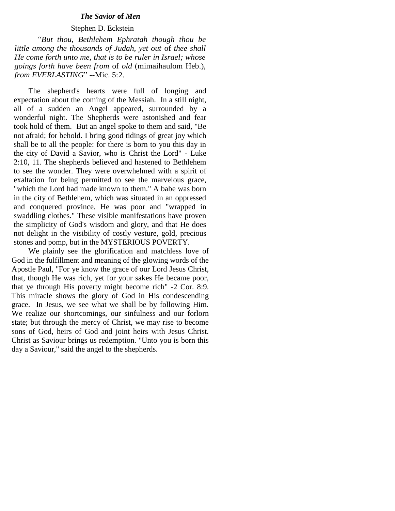#### *The Savior* **of** *Men*

## Stephen D. Eckstein

 *"But thou, Bethlehem Ephratah though thou be little among the thousands of Judah, yet out* of *thee shall He come forth unto me, that is to be ruler in Israel; whose goings forth have been from* of *old* (mimaihaulom Heb.), *from EVERLASTING*" --Mic. 5:2.

The shepherd's hearts were full of longing and expectation about the coming of the Messiah. In a still night, all of a sudden an Angel appeared, surrounded by a wonderful night. The Shepherds were astonished and fear took hold of them. But an angel spoke to them and said, "Be not afraid; for behold. I bring good tidings of great joy which shall be to all the people: for there is born to you this day in the city of David a Savior, who is Christ the Lord" - Luke 2:10, 11. The shepherds believed and hastened to Bethlehem to see the wonder. They were overwhelmed with a spirit of exaltation for being permitted to see the marvelous grace, "which the Lord had made known to them." A babe was born in the city of Bethlehem, which was situated in an oppressed and conquered province. He was poor and "wrapped in swaddling clothes." These visible manifestations have proven the simplicity of God's wisdom and glory, and that He does not delight in the visibility of costly vesture, gold, precious stones and pomp, but in the MYSTERIOUS POVERTY.

We plainly see the glorification and matchless love of God in the fulfillment and meaning of the glowing words of the Apostle Paul, "For ye know the grace of our Lord Jesus Christ, that, though He was rich, yet for your sakes He became poor, that ye through His poverty might become rich" -2 Cor. 8:9. This miracle shows the glory of God in His condescending grace. In Jesus, we see what we shall be by following Him. We realize our shortcomings, our sinfulness and our forlorn state; but through the mercy of Christ, we may rise to become sons of God, heirs of God and joint heirs with Jesus Christ. Christ as Saviour brings us redemption. "Unto you is born this day a Saviour," said the angel to the shepherds.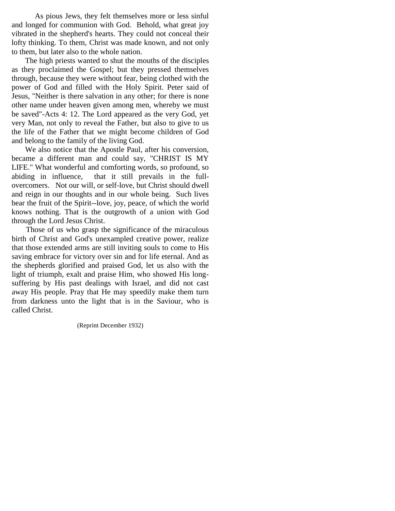As pious Jews, they felt themselves more or less sinful and longed for communion with God. Behold, what great joy vibrated in the shepherd's hearts. They could not conceal their lofty thinking. To them, Christ was made known, and not only to them, but later also to the whole nation.

 The high priests wanted to shut the mouths of the disciples as they proclaimed the Gospel; but they pressed themselves through, because they were without fear, being clothed with the power of God and filled with the Holy Spirit. Peter said of Jesus, "Neither is there salvation in any other; for there is none other name under heaven given among men, whereby we must be saved"-Acts 4: 12. The Lord appeared as the very God, yet very Man, not only to reveal the Father, but also to give to us the life of the Father that we might become children of God and belong to the family of the living God.

 We also notice that the Apostle Paul, after his conversion, became a different man and could say, "CHRIST IS MY LIFE." What wonderful and comforting words, so profound, so abiding in influence, that it still prevails in the fullovercomers. Not our will, or self-love, but Christ should dwell and reign in our thoughts and in our whole being. Such lives bear the fruit of the Spirit--love, joy, peace, of which the world knows nothing. That is the outgrowth of a union with God through the Lord Jesus Christ.

 Those of us who grasp the significance of the miraculous birth of Christ and God's unexampled creative power, realize that those extended arms are still inviting souls to come to His saving embrace for victory over sin and for life eternal. And as the shepherds glorified and praised God, let us also with the light of triumph, exalt and praise Him, who showed His longsuffering by His past dealings with Israel, and did not cast away His people. Pray that He may speedily make them turn from darkness unto the light that is in the Saviour, who is called Christ.

(Reprint December 1932)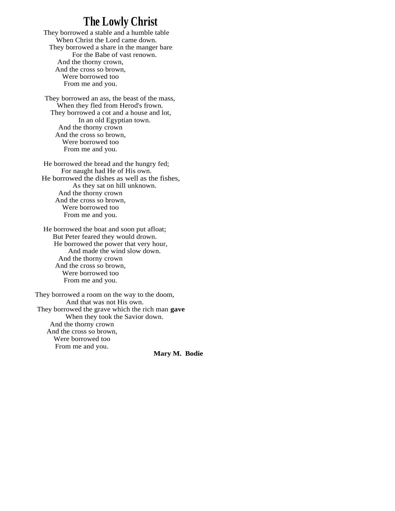# **The Lowly Christ**

They borrowed a stable and a humble table When Christ the Lord came down. They borrowed a share in the manger bare For the Babe of vast renown. And the thorny crown, And the cross so brown, Were borrowed too From me and you.

They borrowed an ass, the beast of the mass, When they fled from Herod's frown. They borrowed a cot and a house and lot, In an old Egyptian town. And the thorny crown And the cross so brown, Were borrowed too From me and you.

He borrowed the bread and the hungry fed; For naught had He of His own. He borrowed the dishes as well as the fishes, As they sat on hill unknown. And the thorny crown And the cross so brown, Were borrowed too From me and you.

He borrowed the boat and soon put afloat; But Peter feared they would drown. He borrowed the power that very hour, And made the wind slow down. And the thorny crown And the cross so brown, Were borrowed too From me and you.

They borrowed a room on the way to the doom, And that was not His own. They borrowed the grave which the rich man **gave** When they took the Savior down. And the thorny crown And the cross so brown, Were borrowed too From me and you.

 **Mary M. Bodie**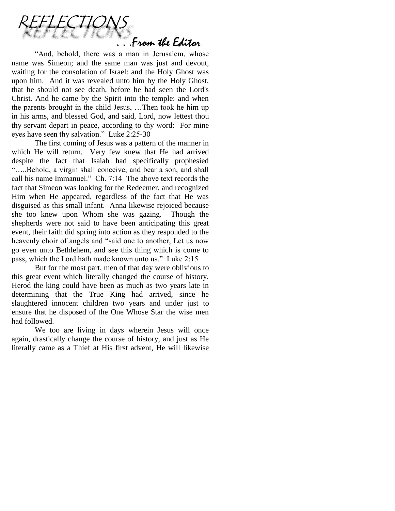

"And, behold, there was a man in Jerusalem, whose name was Simeon; and the same man was just and devout, waiting for the consolation of Israel: and the Holy Ghost was upon him. And it was revealed unto him by the Holy Ghost, that he should not see death, before he had seen the Lord's Christ. And he came by the Spirit into the temple: and when the parents brought in the child Jesus, …Then took he him up in his arms, and blessed God, and said, Lord, now lettest thou thy servant depart in peace, according to thy word: For mine eyes have seen thy salvation." Luke 2:25-30

The first coming of Jesus was a pattern of the manner in which He will return. Very few knew that He had arrived despite the fact that Isaiah had specifically prophesied "…..Behold, a virgin shall conceive, and bear a son, and shall call his name Immanuel." Ch. 7:14 The above text records the fact that Simeon was looking for the Redeemer, and recognized Him when He appeared, regardless of the fact that He was disguised as this small infant. Anna likewise rejoiced because she too knew upon Whom she was gazing. Though the shepherds were not said to have been anticipating this great event, their faith did spring into action as they responded to the heavenly choir of angels and "said one to another, Let us now go even unto Bethlehem, and see this thing which is come to pass, which the Lord hath made known unto us." Luke 2:15

But for the most part, men of that day were oblivious to this great event which literally changed the course of history. Herod the king could have been as much as two years late in determining that the True King had arrived, since he slaughtered innocent children two years and under just to ensure that he disposed of the One Whose Star the wise men had followed.

We too are living in days wherein Jesus will once again, drastically change the course of history, and just as He literally came as a Thief at His first advent, He will likewise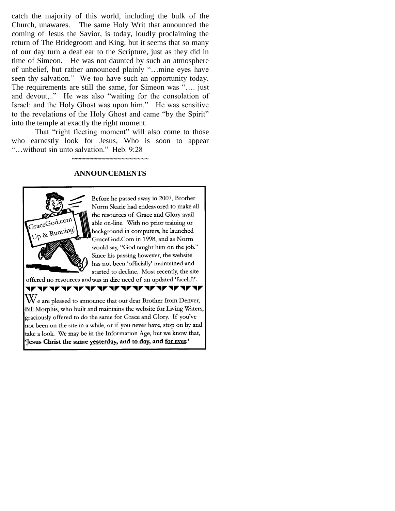catch the majority of this world, including the bulk of the Church, unawares. The same Holy Writ that announced the coming of Jesus the Savior, is today, loudly proclaiming the return of The Bridegroom and King, but it seems that so many of our day turn a deaf ear to the Scripture, just as they did in time of Simeon. He was not daunted by such an atmosphere of unbelief, but rather announced plainly "…mine eyes have seen thy salvation." We too have such an opportunity today. The requirements are still the same, for Simeon was "…. just and devout,.." He was also "waiting for the consolation of Israel: and the Holy Ghost was upon him." He was sensitive to the revelations of the Holy Ghost and came "by the Spirit" into the temple at exactly the right moment.

That "right fleeting moment" will also come to those who earnestly look for Jesus, Who is soon to appear "…without sin unto salvation." Heb. 9:28

## **ANNOUNCEMENTS**

**~~~~~~~~~~~~~~~~~~~**



Before he passed away in 2007, Brother Norm Skarie had endeavored to make all the resources of Grace and Glory available on-line. With no prior training or background in computers, he launched GraceGod.Com in 1998, and as Norm would say, "God taught him on the job." Since his passing however, the website has not been 'officially' maintained and started to decline. Most recently, the site

offered no resources andwas in dire need of an updated 'facelift'.

**v** V **ALAN** V V

 $\rm W$ e are pleased to announce that our dear Brother from Denver, Bill Morphis, who built and maintains the website for Living Waters, graciously offered to do the same for Grace and Glory. If you've not been on the site in a while, or if you never have, stop on by and take a look. We may be in the Information Age, but we know that, Tesus Christ the same vesterday, and to day, and for ever.'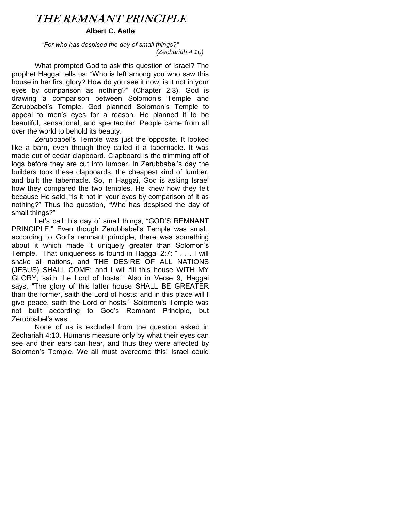# THE REMNANT PRINCIPLE

## **Albert C. Astle**

*"For who has despised the day of small things?" (Zechariah 4:10)*

What prompted God to ask this question of Israel? The prophet Haggai tells us: "Who is left among you who saw this house in her first glory? How do you see it now, is it not in your eyes by comparison as nothing?" (Chapter 2:3). God is drawing a comparison between Solomon"s Temple and Zerubbabel"s Temple. God planned Solomon"s Temple to appeal to men"s eyes for a reason. He planned it to be beautiful, sensational, and spectacular. People came from all over the world to behold its beauty.

Zerubbabel"s Temple was just the opposite. It looked like a barn, even though they called it a tabernacle. It was made out of cedar clapboard. Clapboard is the trimming off of logs before they are cut into lumber. In Zerubbabel's day the builders took these clapboards, the cheapest kind of lumber, and built the tabernacle. So, in Haggai, God is asking Israel how they compared the two temples. He knew how they felt because He said, "Is it not in your eyes by comparison of it as nothing?" Thus the question, "Who has despised the day of small things?"

Let's call this day of small things, "GOD'S REMNANT PRINCIPLE." Even though Zerubbabel"s Temple was small, according to God's remnant principle, there was something about it which made it uniquely greater than Solomon"s Temple. That uniqueness is found in Haggai 2:7: " . . . I will shake all nations, and THE DESIRE OF ALL NATIONS (JESUS) SHALL COME: and I will fill this house WITH MY GLORY, saith the Lord of hosts." Also in Verse 9, Haggai says, "The glory of this latter house SHALL BE GREATER than the former, saith the Lord of hosts: and in this place will I give peace, saith the Lord of hosts." Solomon"s Temple was not built according to God"s Remnant Principle, but Zerubbabel"s was.

None of us is excluded from the question asked in Zechariah 4:10. Humans measure only by what their eyes can see and their ears can hear, and thus they were affected by Solomon"s Temple. We all must overcome this! Israel could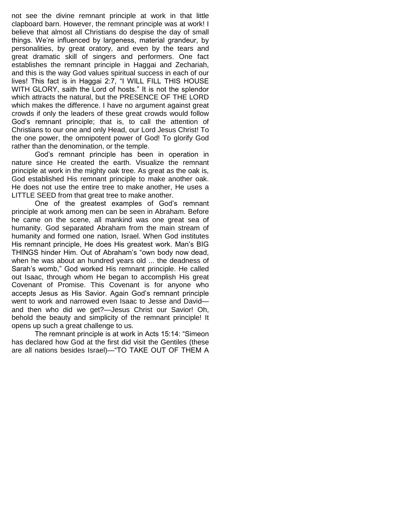not see the divine remnant principle at work in that little clapboard barn. However, the remnant principle was at work! I believe that almost all Christians do despise the day of small things. We"re influenced by largeness, material grandeur, by personalities, by great oratory, and even by the tears and great dramatic skill of singers and performers. One fact establishes the remnant principle in Haggai and Zechariah, and this is the way God values spiritual success in each of our lives! This fact is in Haggai 2:7, "I WILL FILL THIS HOUSE WITH GLORY, saith the Lord of hosts." It is not the splendor which attracts the natural, but the PRESENCE OF THE LORD which makes the difference. I have no argument against great crowds if only the leaders of these great crowds would follow God"s remnant principle; that is, to call the attention of Christians to our one and only Head, our Lord Jesus Christ! To the one power, the omnipotent power of God! To glorify God rather than the denomination, or the temple.

God"s remnant principle has been in operation in nature since He created the earth. Visualize the remnant principle at work in the mighty oak tree. As great as the oak is, God established His remnant principle to make another oak. He does not use the entire tree to make another, He uses a LITTLE SEED from that great tree to make another.

One of the greatest examples of God"s remnant principle at work among men can be seen in Abraham. Before he came on the scene, all mankind was one great sea of humanity. God separated Abraham from the main stream of humanity and formed one nation, Israel. When God institutes His remnant principle, He does His greatest work. Man"s BIG THINGS hinder Him. Out of Abraham"s "own body now dead, when he was about an hundred years old ... the deadness of Sarah's womb," God worked His remnant principle. He called out Isaac, through whom He began to accomplish His great Covenant of Promise. This Covenant is for anyone who accepts Jesus as His Savior. Again God"s remnant principle went to work and narrowed even Isaac to Jesse and David and then who did we get?—Jesus Christ our Savior! Oh, behold the beauty and simplicity of the remnant principle! It opens up such a great challenge to us.

The remnant principle is at work in Acts 15:14: "Simeon has declared how God at the first did visit the Gentiles (these are all nations besides Israel)—"TO TAKE OUT OF THEM A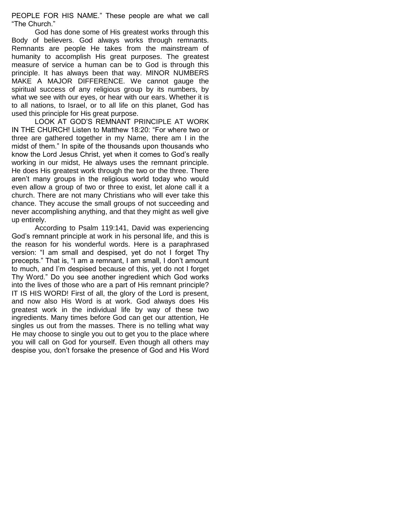PEOPLE FOR HIS NAME." These people are what we call "The Church."

God has done some of His greatest works through this Body of believers. God always works through remnants. Remnants are people He takes from the mainstream of humanity to accomplish His great purposes. The greatest measure of service a human can be to God is through this principle. It has always been that way. MINOR NUMBERS MAKE A MAJOR DIFFERENCE. We cannot gauge the spiritual success of any religious group by its numbers, by what we see with our eyes, or hear with our ears. Whether it is to all nations, to Israel, or to all life on this planet, God has used this principle for His great purpose.

LOOK AT GOD"S REMNANT PRINCIPLE AT WORK IN THE CHURCH! Listen to Matthew 18:20: "For where two or three are gathered together in my Name, there am I in the midst of them." In spite of the thousands upon thousands who know the Lord Jesus Christ, yet when it comes to God"s really working in our midst, He always uses the remnant principle. He does His greatest work through the two or the three. There aren"t many groups in the religious world today who would even allow a group of two or three to exist, let alone call it a church. There are not many Christians who will ever take this chance. They accuse the small groups of not succeeding and never accomplishing anything, and that they might as well give up entirely.

According to Psalm 119:141, David was experiencing God"s remnant principle at work in his personal life, and this is the reason for his wonderful words. Here is a paraphrased version: "I am small and despised, yet do not I forget Thy precepts." That is, "I am a remnant, I am small, I don"t amount to much, and I"m despised because of this, yet do not I forget Thy Word." Do you see another ingredient which God works into the lives of those who are a part of His remnant principle? IT IS HIS WORD! First of all, the glory of the Lord is present, and now also His Word is at work. God always does His greatest work in the individual life by way of these two ingredients. Many times before God can get our attention, He singles us out from the masses. There is no telling what way He may choose to single you out to get you to the place where you will call on God for yourself. Even though all others may despise you, don"t forsake the presence of God and His Word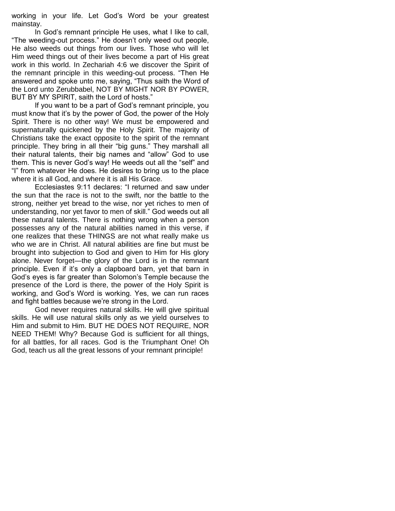working in your life. Let God"s Word be your greatest mainstay.

In God"s remnant principle He uses, what I like to call, "The weeding-out process." He doesn"t only weed out people, He also weeds out things from our lives. Those who will let Him weed things out of their lives become a part of His great work in this world. In Zechariah 4:6 we discover the Spirit of the remnant principle in this weeding-out process. "Then He answered and spoke unto me, saying, "Thus saith the Word of the Lord unto Zerubbabel, NOT BY MIGHT NOR BY POWER, BUT BY MY SPIRIT, saith the Lord of hosts."

If you want to be a part of God"s remnant principle, you must know that it"s by the power of God, the power of the Holy Spirit. There is no other way! We must be empowered and supernaturally quickened by the Holy Spirit. The majority of Christians take the exact opposite to the spirit of the remnant principle. They bring in all their "big guns." They marshall all their natural talents, their big names and "allow" God to use them. This is never God"s way! He weeds out all the "self" and "I" from whatever He does. He desires to bring us to the place where it is all God, and where it is all His Grace.

Ecclesiastes 9:11 declares: "I returned and saw under the sun that the race is not to the swift, nor the battle to the strong, neither yet bread to the wise, nor yet riches to men of understanding, nor yet favor to men of skill." God weeds out all these natural talents. There is nothing wrong when a person possesses any of the natural abilities named in this verse, if one realizes that these THINGS are not what really make us who we are in Christ. All natural abilities are fine but must be brought into subjection to God and given to Him for His glory alone. Never forget—the glory of the Lord is in the remnant principle. Even if it's only a clapboard barn, yet that barn in God"s eyes is far greater than Solomon"s Temple because the presence of the Lord is there, the power of the Holy Spirit is working, and God"s Word is working. Yes, we can run races and fight battles because we"re strong in the Lord.

God never requires natural skills. He will give spiritual skills. He will use natural skills only as we yield ourselves to Him and submit to Him. BUT HE DOES NOT REQUIRE, NOR NEED THEM! Why? Because God is sufficient for all things, for all battles, for all races. God is the Triumphant One! Oh God, teach us all the great lessons of your remnant principle!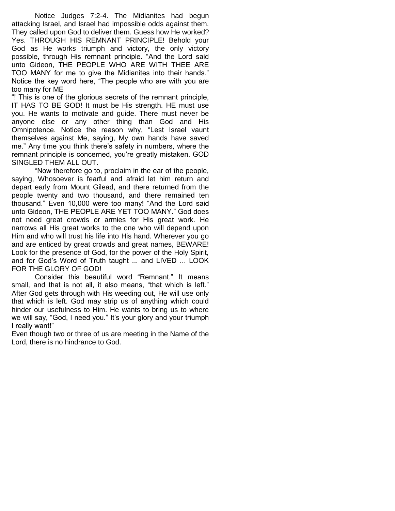Notice Judges 7:2-4. The Midianites had begun attacking Israel, and Israel had impossible odds against them. They called upon God to deliver them. Guess how He worked? Yes. THROUGH HIS REMNANT PRINCIPLE! Behold your God as He works triumph and victory, the only victory possible, through His remnant principle. "And the Lord said unto Gideon, THE PEOPLE WHO ARE WITH THEE ARE TOO MANY for me to give the Midianites into their hands." Notice the key word here, "The people who are with you are too many for ME

"! This is one of the glorious secrets of the remnant principle, IT HAS TO BE GOD! It must be His strength. HE must use you. He wants to motivate and guide. There must never be anyone else or any other thing than God and His Omnipotence. Notice the reason why, "Lest Israel vaunt themselves against Me, saying, My own hands have saved me." Any time you think there"s safety in numbers, where the remnant principle is concerned, you"re greatly mistaken. GOD SINGLED THEM ALL OUT.

"Now therefore go to, proclaim in the ear of the people, saying, Whosoever is fearful and afraid let him return and depart early from Mount Gilead, and there returned from the people twenty and two thousand, and there remained ten thousand." Even 10,000 were too many! "And the Lord said unto Gideon, THE PEOPLE ARE YET TOO MANY." God does not need great crowds or armies for His great work. He narrows all His great works to the one who will depend upon Him and who will trust his life into His hand. Wherever you go and are enticed by great crowds and great names, BEWARE! Look for the presence of God, for the power of the Holy Spirit, and for God"s Word of Truth taught ... and LIVED ... LOOK FOR THE GLORY OF GOD!

Consider this beautiful word "Remnant." It means small, and that is not all, it also means, "that which is left." After God gets through with His weeding out, He will use only that which is left. God may strip us of anything which could hinder our usefulness to Him. He wants to bring us to where we will say, "God, I need you." It"s your glory and your triumph I really want!"

Even though two or three of us are meeting in the Name of the Lord, there is no hindrance to God.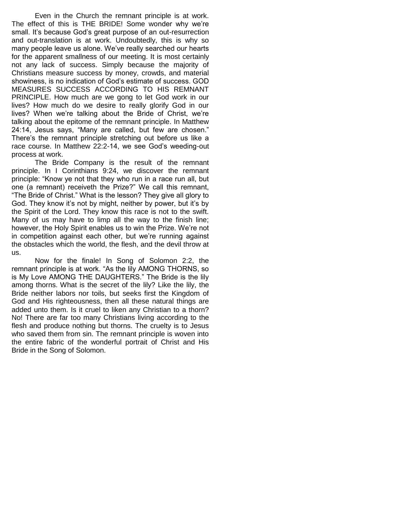Even in the Church the remnant principle is at work. The effect of this is THE BRIDE! Some wonder why we"re small. It's because God's great purpose of an out-resurrection and out-translation is at work. Undoubtedly, this is why so many people leave us alone. We've really searched our hearts for the apparent smallness of our meeting. It is most certainly not any lack of success. Simply because the majority of Christians measure success by money, crowds, and material showiness, is no indication of God"s estimate of success. GOD MEASURES SUCCESS ACCORDING TO HIS REMNANT PRINCIPLE. How much are we gong to let God work in our lives? How much do we desire to really glorify God in our lives? When we"re talking about the Bride of Christ, we"re talking about the epitome of the remnant principle. In Matthew 24:14, Jesus says, "Many are called, but few are chosen." There's the remnant principle stretching out before us like a race course. In Matthew 22:2-14, we see God"s weeding-out process at work.

The Bride Company is the result of the remnant principle. In I Corinthians 9:24, we discover the remnant principle: "Know ye not that they who run in a race run all, but one (a remnant) receiveth the Prize?" We call this remnant, "The Bride of Christ." What is the lesson? They give all glory to God. They know it's not by might, neither by power, but it's by the Spirit of the Lord. They know this race is not to the swift. Many of us may have to limp all the way to the finish line; however, the Holy Spirit enables us to win the Prize. We"re not in competition against each other, but we"re running against the obstacles which the world, the flesh, and the devil throw at us.

Now for the finale! In Song of Solomon 2:2, the remnant principle is at work. "As the lily AMONG THORNS, so is My Love AMONG THE DAUGHTERS." The Bride is the lily among thorns. What is the secret of the lily? Like the lily, the Bride neither labors nor toils, but seeks first the Kingdom of God and His righteousness, then all these natural things are added unto them. Is it cruel to liken any Christian to a thorn? No! There are far too many Christians living according to the flesh and produce nothing but thorns. The cruelty is to Jesus who saved them from sin. The remnant principle is woven into the entire fabric of the wonderful portrait of Christ and His Bride in the Song of Solomon.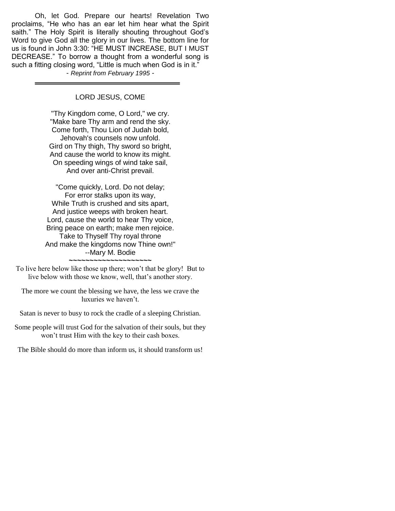Oh, let God. Prepare our hearts! Revelation Two proclaims, "He who has an ear let him hear what the Spirit saith." The Holy Spirit is literally shouting throughout God's Word to give God all the glory in our lives. The bottom line for us is found in John 3:30: "HE MUST INCREASE, BUT I MUST DECREASE." To borrow a thought from a wonderful song is such a fitting closing word, "Little is much when God is in it." - *Reprint from February 1995* -

LORD JESUS, COME

"Thy Kingdom come, O Lord," we cry. "Make bare Thy arm and rend the sky. Come forth, Thou Lion of Judah bold, Jehovah's counsels now unfold. Gird on Thy thigh, Thy sword so bright, And cause the world to know its might. On speeding wings of wind take sail, And over anti-Christ prevail.

"Come quickly, Lord. Do not delay; For error stalks upon its way, While Truth is crushed and sits apart, And justice weeps with broken heart. Lord, cause the world to hear Thy voice, Bring peace on earth; make men rejoice. Take to Thyself Thy royal throne And make the kingdoms now Thine own!" --Mary M. Bodie **~~~~~~~~~~~~~~~~~~~~**

To live here below like those up there; won't that be glory! But to live below with those we know, well, that's another story.

The more we count the blessing we have, the less we crave the luxuries we haven't.

Satan is never to busy to rock the cradle of a sleeping Christian.

Some people will trust God for the salvation of their souls, but they won't trust Him with the key to their cash boxes.

The Bible should do more than inform us, it should transform us!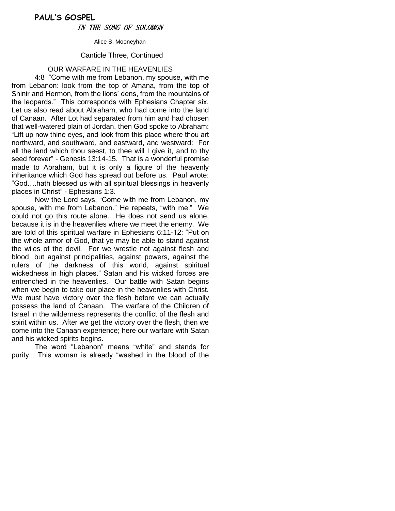## **PAUL'S GOSPEL** IN THE SONG OF SOLOMON

Alice S. Mooneyhan

#### Canticle Three, Continued

## OUR WARFARE IN THE HEAVENLIES

4:8 "Come with me from Lebanon, my spouse, with me from Lebanon: look from the top of Amana, from the top of Shinir and Hermon, from the lions" dens, from the mountains of the leopards." This corresponds with Ephesians Chapter six. Let us also read about Abraham, who had come into the land of Canaan. After Lot had separated from him and had chosen that well-watered plain of Jordan, then God spoke to Abraham: "Lift up now thine eyes, and look from this place where thou art northward, and southward, and eastward, and westward: For all the land which thou seest, to thee will I give it, and to thy seed forever" - Genesis 13:14-15. That is a wonderful promise made to Abraham, but it is only a figure of the heavenly inheritance which God has spread out before us. Paul wrote: "God….hath blessed us with all spiritual blessings in heavenly places in Christ" - Ephesians 1:3.

Now the Lord says, "Come with me from Lebanon, my spouse, with me from Lebanon." He repeats, "with me." We could not go this route alone. He does not send us alone, because it is in the heavenlies where we meet the enemy. We are told of this spiritual warfare in Ephesians 6:11-12: "Put on the whole armor of God, that ye may be able to stand against the wiles of the devil. For we wrestle not against flesh and blood, but against principalities, against powers, against the rulers of the darkness of this world, against spiritual wickedness in high places." Satan and his wicked forces are entrenched in the heavenlies. Our battle with Satan begins when we begin to take our place in the heavenlies with Christ. We must have victory over the flesh before we can actually possess the land of Canaan. The warfare of the Children of Israel in the wilderness represents the conflict of the flesh and spirit within us. After we get the victory over the flesh, then we come into the Canaan experience; here our warfare with Satan and his wicked spirits begins.

The word "Lebanon" means "white" and stands for purity. This woman is already "washed in the blood of the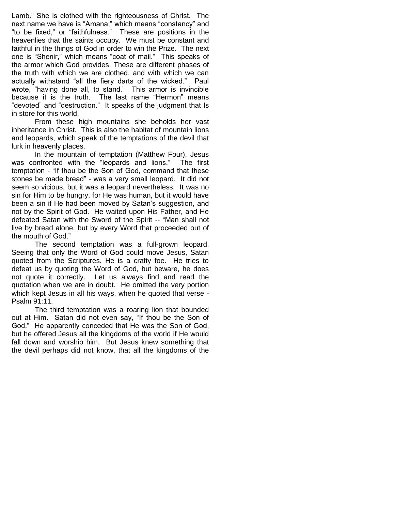Lamb." She is clothed with the righteousness of Christ. The next name we have is "Amana," which means "constancy" and "to be fixed," or "faithfulness." These are positions in the heavenlies that the saints occupy. We must be constant and faithful in the things of God in order to win the Prize. The next one is "Shenir," which means "coat of mail." This speaks of the armor which God provides. These are different phases of the truth with which we are clothed, and with which we can actually withstand "all the fiery darts of the wicked." Paul wrote, "having done all, to stand." This armor is invincible because it is the truth. The last name "Hermon" means "devoted" and "destruction." It speaks of the judgment that Is in store for this world.

From these high mountains she beholds her vast inheritance in Christ. This is also the habitat of mountain lions and leopards, which speak of the temptations of the devil that lurk in heavenly places.

In the mountain of temptation (Matthew Four), Jesus was confronted with the "leopards and lions." The first temptation - "If thou be the Son of God, command that these stones be made bread" - was a very small leopard. It did not seem so vicious, but it was a leopard nevertheless. It was no sin for Him to be hungry, for He was human, but it would have been a sin if He had been moved by Satan"s suggestion, and not by the Spirit of God. He waited upon His Father, and He defeated Satan with the Sword of the Spirit -- "Man shall not live by bread alone, but by every Word that proceeded out of the mouth of God."

The second temptation was a full-grown leopard. Seeing that only the Word of God could move Jesus, Satan quoted from the Scriptures. He is a crafty foe. He tries to defeat us by quoting the Word of God, but beware, he does not quote it correctly. Let us always find and read the quotation when we are in doubt. He omitted the very portion which kept Jesus in all his ways, when he quoted that verse - Psalm 91:11.

The third temptation was a roaring lion that bounded out at Him. Satan did not even say, "If thou be the Son of God." He apparently conceded that He was the Son of God, but he offered Jesus all the kingdoms of the world if He would fall down and worship him. But Jesus knew something that the devil perhaps did not know, that all the kingdoms of the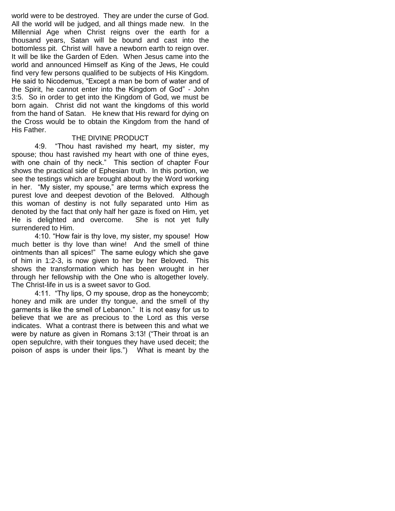world were to be destroyed. They are under the curse of God. All the world will be judged, and all things made new. In the Millennial Age when Christ reigns over the earth for a thousand years, Satan will be bound and cast into the bottomless pit. Christ will have a newborn earth to reign over. It will be like the Garden of Eden. When Jesus came into the world and announced Himself as King of the Jews, He could find very few persons qualified to be subjects of His Kingdom. He said to Nicodemus, "Except a man be born of water and of the Spirit, he cannot enter into the Kingdom of God" - John 3:5. So in order to get into the Kingdom of God, we must be born again. Christ did not want the kingdoms of this world from the hand of Satan. He knew that His reward for dying on the Cross would be to obtain the Kingdom from the hand of His Father.

## THE DIVINE PRODUCT

4:9. "Thou hast ravished my heart, my sister, my spouse; thou hast ravished my heart with one of thine eyes, with one chain of thy neck." This section of chapter Four shows the practical side of Ephesian truth. In this portion, we see the testings which are brought about by the Word working in her. "My sister, my spouse," are terms which express the purest love and deepest devotion of the Beloved. Although this woman of destiny is not fully separated unto Him as denoted by the fact that only half her gaze is fixed on Him, yet He is delighted and overcome. She is not yet fully surrendered to Him.

4:10. "How fair is thy love, my sister, my spouse! How much better is thy love than wine! And the smell of thine ointments than all spices!" The same eulogy which she gave of him in 1:2-3, is now given to her by her Beloved. This shows the transformation which has been wrought in her through her fellowship with the One who is altogether lovely. The Christ-life in us is a sweet savor to God.

4:11. "Thy lips, O my spouse, drop as the honeycomb; honey and milk are under thy tongue, and the smell of thy garments is like the smell of Lebanon." It is not easy for us to believe that we are as precious to the Lord as this verse indicates. What a contrast there is between this and what we were by nature as given in Romans 3:13! ("Their throat is an open sepulchre, with their tongues they have used deceit; the poison of asps is under their lips.") What is meant by the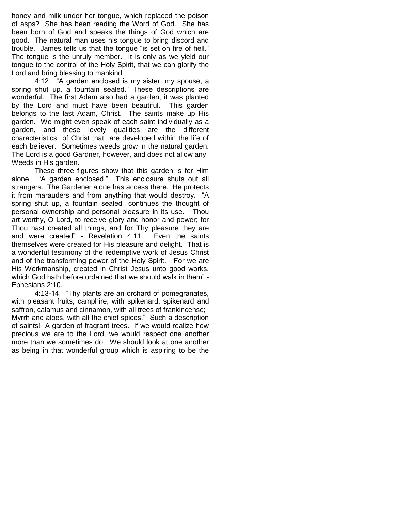honey and milk under her tongue, which replaced the poison of asps? She has been reading the Word of God. She has been born of God and speaks the things of God which are good. The natural man uses his tongue to bring discord and trouble. James tells us that the tongue "is set on fire of hell." The tongue is the unruly member. It is only as we yield our tongue to the control of the Holy Spirit, that we can glorify the Lord and bring blessing to mankind.

4:12. "A garden enclosed is my sister, my spouse, a spring shut up, a fountain sealed." These descriptions are wonderful. The first Adam also had a garden; it was planted by the Lord and must have been beautiful. This garden belongs to the last Adam, Christ. The saints make up His garden. We might even speak of each saint individually as a garden, and these lovely qualities are the different characteristics of Christ that are developed within the life of each believer. Sometimes weeds grow in the natural garden. The Lord is a good Gardner, however, and does not allow any Weeds in His garden.

These three figures show that this garden is for Him alone. "A garden enclosed." This enclosure shuts out all strangers. The Gardener alone has access there. He protects it from marauders and from anything that would destroy. "A spring shut up, a fountain sealed" continues the thought of personal ownership and personal pleasure in its use. "Thou art worthy, O Lord, to receive glory and honor and power; for Thou hast created all things, and for Thy pleasure they are and were created" - Revelation 4:11. Even the saints themselves were created for His pleasure and delight. That is a wonderful testimony of the redemptive work of Jesus Christ and of the transforming power of the Holy Spirit. "For we are His Workmanship, created in Christ Jesus unto good works, which God hath before ordained that we should walk in them" - Ephesians 2:10.

4:13-14. "Thy plants are an orchard of pomegranates, with pleasant fruits; camphire, with spikenard, spikenard and saffron, calamus and cinnamon, with all trees of frankincense; Myrrh and aloes, with all the chief spices." Such a description of saints! A garden of fragrant trees. If we would realize how precious we are to the Lord, we would respect one another more than we sometimes do. We should look at one another as being in that wonderful group which is aspiring to be the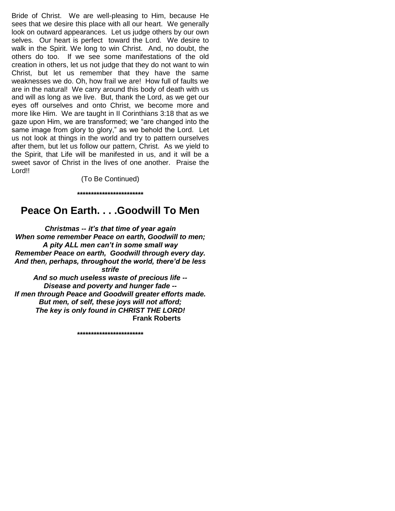Bride of Christ. We are well-pleasing to Him, because He sees that we desire this place with all our heart. We generally look on outward appearances. Let us judge others by our own selves. Our heart is perfect toward the Lord. We desire to walk in the Spirit. We long to win Christ. And, no doubt, the others do too. If we see some manifestations of the old creation in others, let us not judge that they do not want to win Christ, but let us remember that they have the same weaknesses we do. Oh, how frail we are! How full of faults we are in the natural! We carry around this body of death with us and will as long as we live. But, thank the Lord, as we get our eyes off ourselves and onto Christ, we become more and more like Him. We are taught in II Corinthians 3:18 that as we gaze upon Him, we are transformed; we "are changed into the same image from glory to glory," as we behold the Lord. Let us not look at things in the world and try to pattern ourselves after them, but let us follow our pattern, Christ. As we yield to the Spirit, that Life will be manifested in us, and it will be a sweet savor of Christ in the lives of one another. Praise the Lord!!

> (To Be Continued) **\*\*\*\*\*\*\*\*\*\*\*\*\*\*\*\*\*\*\*\*\*\*\*\***

## **Peace On Earth. . . .Goodwill To Men**

*Christmas -- it's that time of year again When some remember Peace on earth, Goodwill to men; A pity ALL men can't in some small way Remember Peace on earth, Goodwill through every day. And then, perhaps, throughout the world, there'd be less strife And so much useless waste of precious life -- Disease and poverty and hunger fade -- If men through Peace and Goodwill greater efforts made. But men, of self, these joys will not afford;*

**\*\*\*\*\*\*\*\*\*\*\*\*\*\*\*\*\*\*\*\*\*\*\*\***

*The key is only found in CHRIST THE LORD!*

**Frank Roberts**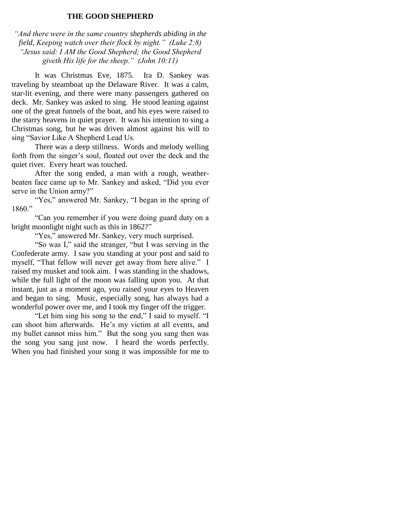## **THE GOOD SHEPHERD**

*"And there were in the same country shepherds abiding in the field, Keeping watch over their flock by night." (Luke 2:8) "Jesus said: I AM the Good Shepherd; the Good Shepherd giveth His life for the sheep." (John 10:11)*

It was Christmas Eve, 1875. Ira D. Sankey was traveling by steamboat up the Delaware River. It was a calm, star-lit evening, and there were many passengers gathered on deck. Mr. Sankey was asked to sing. He stood leaning against one of the great funnels of the boat, and his eyes were raised to the starry heavens in quiet prayer. It was his intention to sing a Christmas song, but he was driven almost against his will to sing "Savior Like A Shepherd Lead Us.

There was a deep stillness. Words and melody welling forth from the singer's soul, floated out over the deck and the quiet river. Every heart was touched.

After the song ended, a man with a rough, weatherbeaten face came up to Mr. Sankey and asked, "Did you ever serve in the Union army?"

"Yes," answered Mr. Sankey, "I began in the spring of 1860."

"Can you remember if you were doing guard duty on a bright moonlight night such as this in 1862?"

"Yes," answered Mr. Sankey, very much surprised.

"So was I," said the stranger, "but I was serving in the Confederate army. I saw you standing at your post and said to myself, "That fellow will never get away from here alive." I raised my musket and took aim. I was standing in the shadows, while the full light of the moon was falling upon you. At that instant, just as a moment ago, you raised your eyes to Heaven and began to sing. Music, especially song, has always had a wonderful power over me, and I took my finger off the trigger.

"Let him sing his song to the end," I said to myself. "I can shoot him afterwards. He's my victim at all events, and my bullet cannot miss him." But the song you sang then was the song you sang just now. I heard the words perfectly. When you had finished your song it was impossible for me to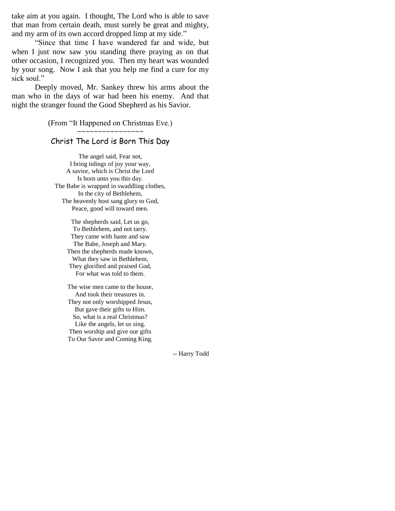take aim at you again. I thought, The Lord who is able to save that man from certain death, must surely be great and mighty, and my arm of its own accord dropped limp at my side."

"Since that time I have wandered far and wide, but when I just now saw you standing there praying as on that other occasion, I recognized you. Then my heart was wounded by your song. Now I ask that you help me find a cure for my sick soul."

Deeply moved, Mr. Sankey threw his arms about the man who in the days of war had been his enemy. And that night the stranger found the Good Shepherd as his Savior.

(From "It Happened on Christmas Eve.)

~~~~~~~~~~~~~~~~

## Christ The Lord is Born This Day

The angel said, Fear not, I bring tidings of joy your way, A savior, which is Christ the Lord Is born unto you this day. The Babe is wrapped in swaddling clothes, In the city of Bethlehem, The heavenly host sang glory to God, Peace, good will toward men.

> The shepherds said, Let us go, To Bethlehem, and not tarry. They came with haste and saw The Babe, Joseph and Mary. Then the shepherds made known, What they saw in Bethlehem, They glorified and praised God, For what was told to them.

> The wise men came to the house, And took their treasures in. They not only worshipped Jesus, But gave their gifts to Him. So, what is a real Christmas? Like the angels, let us sing. Then worship and give our gifts To Our Savor and Coming King.

> > -- Harry Todd